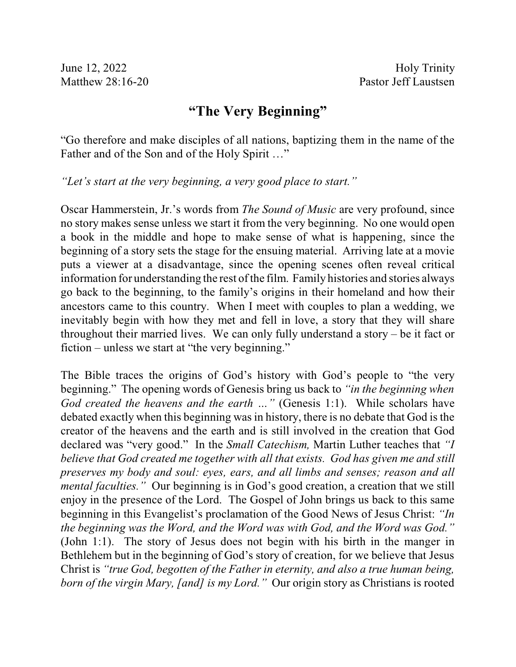## **"The Very Beginning"**

"Go therefore and make disciples of all nations, baptizing them in the name of the Father and of the Son and of the Holy Spirit …"

*"Let's start at the very beginning, a very good place to start."*

Oscar Hammerstein, Jr.'s words from *The Sound of Music* are very profound, since no story makes sense unless we start it from the very beginning. No one would open a book in the middle and hope to make sense of what is happening, since the beginning of a story sets the stage for the ensuing material. Arriving late at a movie puts a viewer at a disadvantage, since the opening scenes often reveal critical information for understanding the rest of the film. Family histories and stories always go back to the beginning, to the family's origins in their homeland and how their ancestors came to this country. When I meet with couples to plan a wedding, we inevitably begin with how they met and fell in love, a story that they will share throughout their married lives. We can only fully understand a story – be it fact or fiction – unless we start at "the very beginning."

The Bible traces the origins of God's history with God's people to "the very beginning." The opening words of Genesis bring us back to *"in the beginning when God created the heavens and the earth …"* (Genesis 1:1). While scholars have debated exactly when this beginning was in history, there is no debate that God is the creator of the heavens and the earth and is still involved in the creation that God declared was "very good." In the *Small Catechism,* Martin Luther teaches that *"I believe that God created me together with all that exists. God has given me and still preserves my body and soul: eyes, ears, and all limbs and senses; reason and all mental faculties.*" Our beginning is in God's good creation, a creation that we still enjoy in the presence of the Lord. The Gospel of John brings us back to this same beginning in this Evangelist's proclamation of the Good News of Jesus Christ: *"In the beginning was the Word, and the Word was with God, and the Word was God."* (John 1:1). The story of Jesus does not begin with his birth in the manger in Bethlehem but in the beginning of God's story of creation, for we believe that Jesus Christ is *"true God, begotten of the Father in eternity, and also a true human being, born of the virgin Mary, [and] is my Lord."* Our origin story as Christians is rooted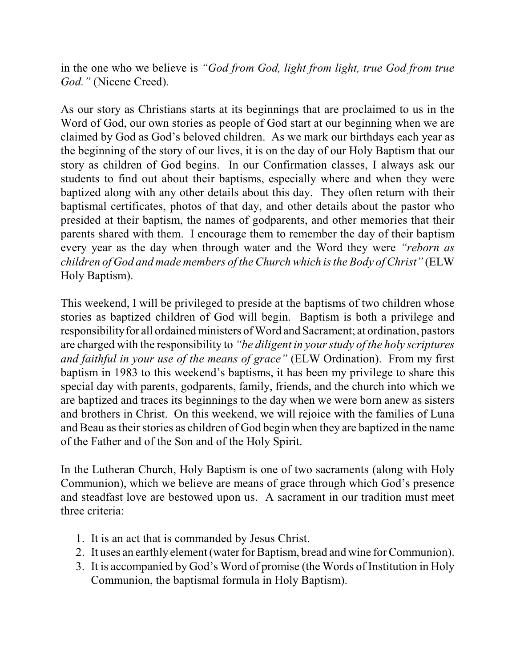in the one who we believe is *"God from God, light from light, true God from true God."* (Nicene Creed).

As our story as Christians starts at its beginnings that are proclaimed to us in the Word of God, our own stories as people of God start at our beginning when we are claimed by God as God's beloved children. As we mark our birthdays each year as the beginning of the story of our lives, it is on the day of our Holy Baptism that our story as children of God begins. In our Confirmation classes, I always ask our students to find out about their baptisms, especially where and when they were baptized along with any other details about this day. They often return with their baptismal certificates, photos of that day, and other details about the pastor who presided at their baptism, the names of godparents, and other memories that their parents shared with them. I encourage them to remember the day of their baptism every year as the day when through water and the Word they were *"reborn as children of God and made members of the Church which isthe Body of Christ"* (ELW Holy Baptism).

This weekend, I will be privileged to preside at the baptisms of two children whose stories as baptized children of God will begin. Baptism is both a privilege and responsibility for all ordained ministers of Word and Sacrament; at ordination, pastors are charged with the responsibility to *"be diligent in your study of the holy scriptures and faithful in your use of the means of grace"* (ELW Ordination). From my first baptism in 1983 to this weekend's baptisms, it has been my privilege to share this special day with parents, godparents, family, friends, and the church into which we are baptized and traces its beginnings to the day when we were born anew as sisters and brothers in Christ. On this weekend, we will rejoice with the families of Luna and Beau astheir stories as children of God begin when they are baptized in the name of the Father and of the Son and of the Holy Spirit.

In the Lutheran Church, Holy Baptism is one of two sacraments (along with Holy Communion), which we believe are means of grace through which God's presence and steadfast love are bestowed upon us. A sacrament in our tradition must meet three criteria:

- 1. It is an act that is commanded by Jesus Christ.
- 2. It uses an earthly element(water for Baptism, bread and wine for Communion).
- 3. It is accompanied by God's Word of promise (the Words of Institution in Holy Communion, the baptismal formula in Holy Baptism).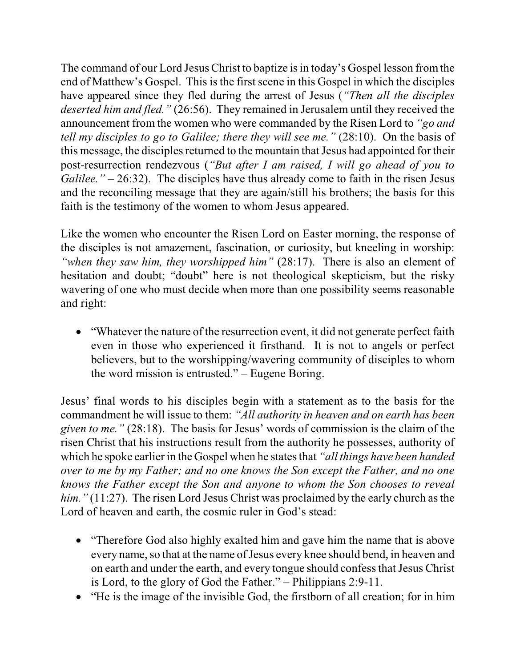The command of our Lord Jesus Christ to baptize is in today's Gospel lesson from the end of Matthew's Gospel. This is the first scene in this Gospel in which the disciples have appeared since they fled during the arrest of Jesus (*"Then all the disciples deserted him and fled."* (26:56). They remained in Jerusalem until they received the announcement from the women who were commanded by the Risen Lord to *"go and tell my disciples to go to Galilee; there they will see me."* (28:10). On the basis of this message, the disciples returned to the mountain that Jesus had appointed for their post-resurrection rendezvous (*"But after I am raised, I will go ahead of you to Galilee.* " – 26:32). The disciples have thus already come to faith in the risen Jesus and the reconciling message that they are again/still his brothers; the basis for this faith is the testimony of the women to whom Jesus appeared.

Like the women who encounter the Risen Lord on Easter morning, the response of the disciples is not amazement, fascination, or curiosity, but kneeling in worship: *"when they saw him, they worshipped him"* (28:17). There is also an element of hesitation and doubt; "doubt" here is not theological skepticism, but the risky wavering of one who must decide when more than one possibility seems reasonable and right:

• "Whatever the nature of the resurrection event, it did not generate perfect faith even in those who experienced it firsthand. It is not to angels or perfect believers, but to the worshipping/wavering community of disciples to whom the word mission is entrusted." – Eugene Boring.

Jesus' final words to his disciples begin with a statement as to the basis for the commandment he will issue to them: *"All authority in heaven and on earth has been given to me."* (28:18). The basis for Jesus' words of commission is the claim of the risen Christ that his instructions result from the authority he possesses, authority of which he spoke earlier in the Gospel when he statesthat *"all things have been handed over to me by my Father; and no one knows the Son except the Father, and no one knows the Father except the Son and anyone to whom the Son chooses to reveal him.*" (11:27). The risen Lord Jesus Christ was proclaimed by the early church as the Lord of heaven and earth, the cosmic ruler in God's stead:

- "Therefore God also highly exalted him and gave him the name that is above every name, so that at the name of Jesus every knee should bend, in heaven and on earth and under the earth, and every tongue should confess that Jesus Christ is Lord, to the glory of God the Father." – Philippians 2:9-11.
- · "He is the image of the invisible God, the firstborn of all creation; for in him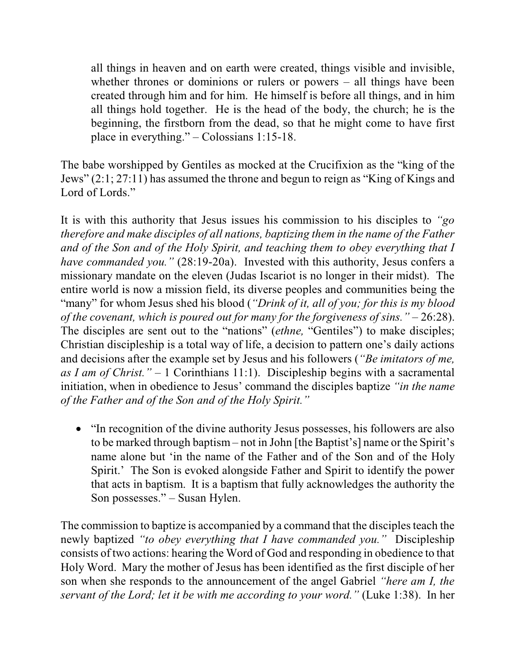all things in heaven and on earth were created, things visible and invisible, whether thrones or dominions or rulers or powers – all things have been created through him and for him. He himself is before all things, and in him all things hold together. He is the head of the body, the church; he is the beginning, the firstborn from the dead, so that he might come to have first place in everything." – Colossians 1:15-18.

The babe worshipped by Gentiles as mocked at the Crucifixion as the "king of the Jews" (2:1; 27:11) has assumed the throne and begun to reign as "King of Kings and Lord of Lords."

It is with this authority that Jesus issues his commission to his disciples to *"go therefore and make disciples of all nations, baptizing them in the name of the Father and of the Son and of the Holy Spirit, and teaching them to obey everything that I have commanded you.*" (28:19-20a). Invested with this authority, Jesus confers a missionary mandate on the eleven (Judas Iscariot is no longer in their midst). The entire world is now a mission field, its diverse peoples and communities being the "many" for whom Jesus shed his blood (*"Drink of it, all of you; for this is my blood of the covenant, which is poured out for many for the forgiveness of sins."* – 26:28). The disciples are sent out to the "nations" (*ethne,* "Gentiles") to make disciples; Christian discipleship is a total way of life, a decision to pattern one's daily actions and decisions after the example set by Jesus and his followers (*"Be imitators of me, as I am of Christ."* – 1 Corinthians 11:1). Discipleship begins with a sacramental initiation, when in obedience to Jesus' command the disciples baptize *"in the name of the Father and of the Son and of the Holy Spirit."*

• "In recognition of the divine authority Jesus possesses, his followers are also to be marked through baptism – not in John [the Baptist's] name or the Spirit's name alone but 'in the name of the Father and of the Son and of the Holy Spirit.' The Son is evoked alongside Father and Spirit to identify the power that acts in baptism. It is a baptism that fully acknowledges the authority the Son possesses." – Susan Hylen.

The commission to baptize is accompanied by a command that the disciples teach the newly baptized *"to obey everything that I have commanded you."* Discipleship consists of two actions: hearing the Word of God and responding in obedience to that Holy Word. Mary the mother of Jesus has been identified as the first disciple of her son when she responds to the announcement of the angel Gabriel *"here am I, the servant of the Lord; let it be with me according to your word."* (Luke 1:38). In her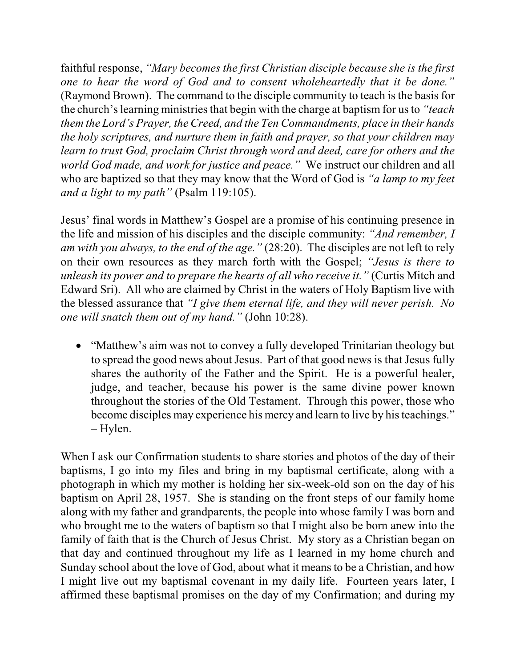faithful response, *"Mary becomes the first Christian disciple because she is the first one to hear the word of God and to consent wholeheartedly that it be done."* (Raymond Brown). The command to the disciple community to teach is the basis for the church'slearning ministriesthat begin with the charge at baptism for usto *"teach them the Lord's Prayer, the Creed, and the Ten Commandments, place in their hands the holy scriptures, and nurture them in faith and prayer, so that your children may learn to trust God, proclaim Christ through word and deed, care for others and the world God made, and work for justice and peace."* We instruct our children and all who are baptized so that they may know that the Word of God is *"a lamp to my feet and a light to my path"* (Psalm 119:105).

Jesus' final words in Matthew's Gospel are a promise of his continuing presence in the life and mission of his disciples and the disciple community: *"And remember, I am with you always, to the end of the age."* (28:20). The disciples are not left to rely on their own resources as they march forth with the Gospel; *"Jesus is there to unleash its power and to prepare the hearts of all who receive it."* (Curtis Mitch and Edward Sri). All who are claimed by Christ in the waters of Holy Baptism live with the blessed assurance that *"I give them eternal life, and they will never perish. No one will snatch them out of my hand."* (John 10:28).

• "Matthew's aim was not to convey a fully developed Trinitarian theology but to spread the good news about Jesus. Part of that good news is that Jesus fully shares the authority of the Father and the Spirit. He is a powerful healer, judge, and teacher, because his power is the same divine power known throughout the stories of the Old Testament. Through this power, those who become disciples may experience his mercy and learn to live by his teachings." – Hylen.

When I ask our Confirmation students to share stories and photos of the day of their baptisms, I go into my files and bring in my baptismal certificate, along with a photograph in which my mother is holding her six-week-old son on the day of his baptism on April 28, 1957. She is standing on the front steps of our family home along with my father and grandparents, the people into whose family I was born and who brought me to the waters of baptism so that I might also be born anew into the family of faith that is the Church of Jesus Christ. My story as a Christian began on that day and continued throughout my life as I learned in my home church and Sunday school about the love of God, about what it means to be a Christian, and how I might live out my baptismal covenant in my daily life. Fourteen years later, I affirmed these baptismal promises on the day of my Confirmation; and during my